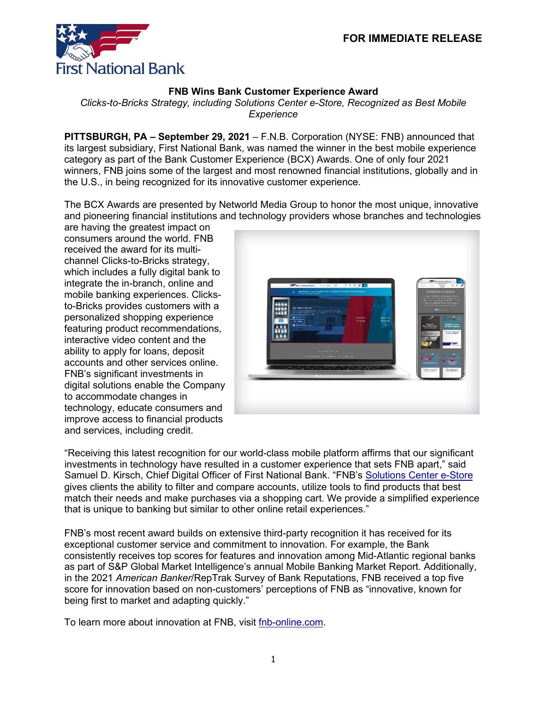

## **FNB Wins Bank Customer Experience Award**

*Clicks-to-Bricks Strategy, including Solutions Center e-Store, Recognized as Best Mobile Experience*

**PITTSBURGH, PA – September 29, 2021** – F.N.B. Corporation (NYSE: FNB) announced that its largest subsidiary, First National Bank, was named the winner in the best mobile experience category as part of the Bank Customer Experience (BCX) Awards. One of only four 2021 winners, FNB joins some of the largest and most renowned financial institutions, globally and in the U.S., in being recognized for its innovative customer experience.

The BCX Awards are presented by Networld Media Group to honor the most unique, innovative and pioneering financial institutions and technology providers whose branches and technologies

are having the greatest impact on consumers around the world. FNB received the award for its multichannel Clicks-to-Bricks strategy, which includes a fully digital bank to integrate the in-branch, online and mobile banking experiences. Clicksto-Bricks provides customers with a personalized shopping experience featuring product recommendations, interactive video content and the ability to apply for loans, deposit accounts and other services online. FNB's significant investments in digital solutions enable the Company to accommodate changes in technology, educate consumers and improve access to financial products and services, including credit.



"Receiving this latest recognition for our world-class mobile platform affirms that our significant investments in technology have resulted in a customer experience that sets FNB apart," said Samuel D. Kirsch, Chief Digital Officer of First National Bank. "FNB's [Solutions Center e-Store](https://www.fnb-online.com/solutions-center) gives clients the ability to filter and compare accounts, utilize tools to find products that best match their needs and make purchases via a shopping cart. We provide a simplified experience that is unique to banking but similar to other online retail experiences."

FNB's most recent award builds on extensive third-party recognition it has received for its exceptional customer service and commitment to innovation. For example, the Bank consistently receives top scores for features and innovation among Mid-Atlantic regional banks as part of S&P Global Market Intelligence's annual Mobile Banking Market Report. Additionally, in the 2021 *American Banker*/RepTrak Survey of Bank Reputations, FNB received a top five score for innovation based on non-customers' perceptions of FNB as "innovative, known for being first to market and adapting quickly."

To learn more about innovation at FNB, visit [fnb-online.com.](https://www.fnb-online.com/about-us/corporate-information/innovation)